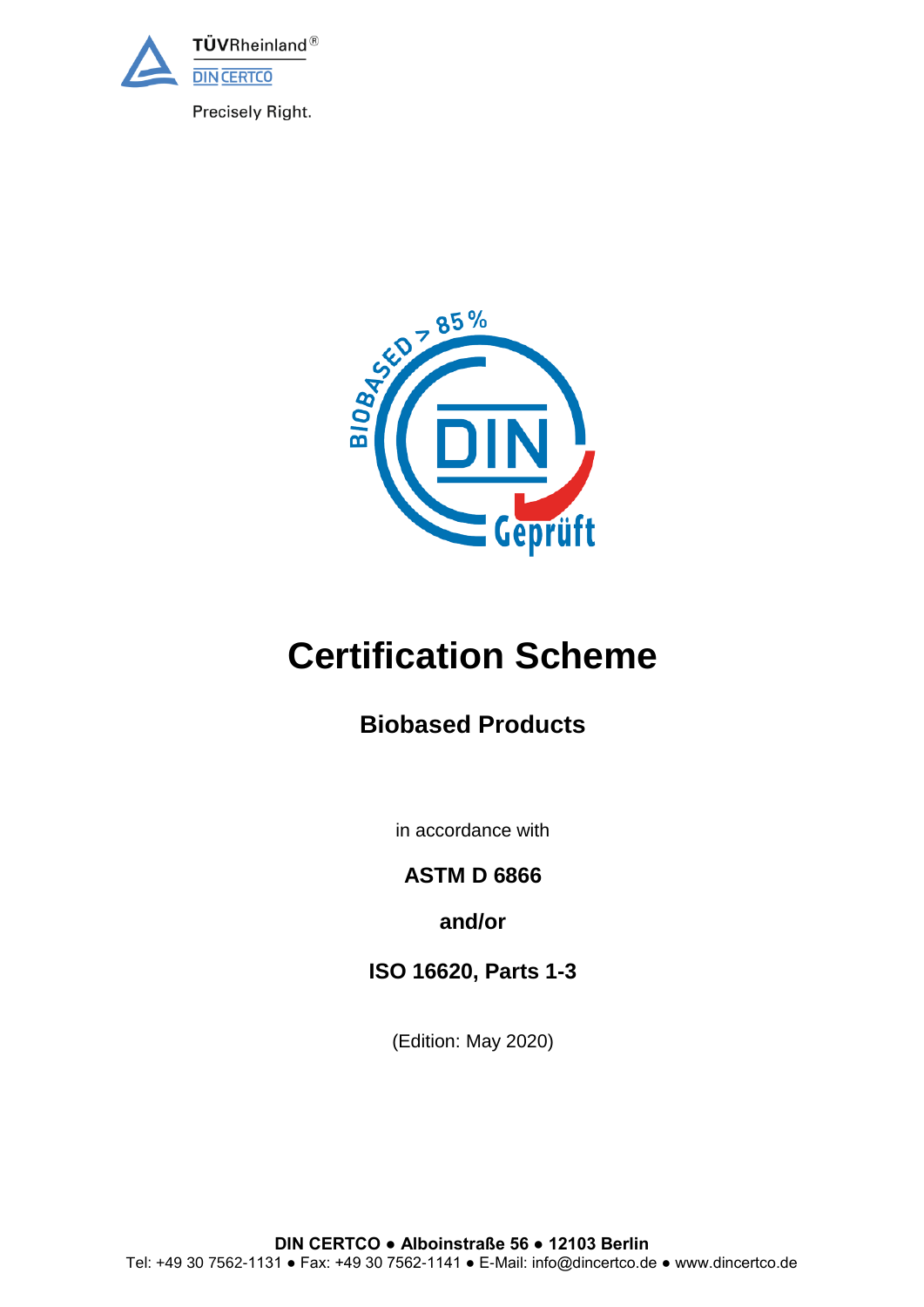

Precisely Right.



# **Certification Scheme**

# **Biobased Products**

in accordance with

**ASTM D 6866**

**and/or**

**ISO 16620, Parts 1-3**

(Edition: May 2020)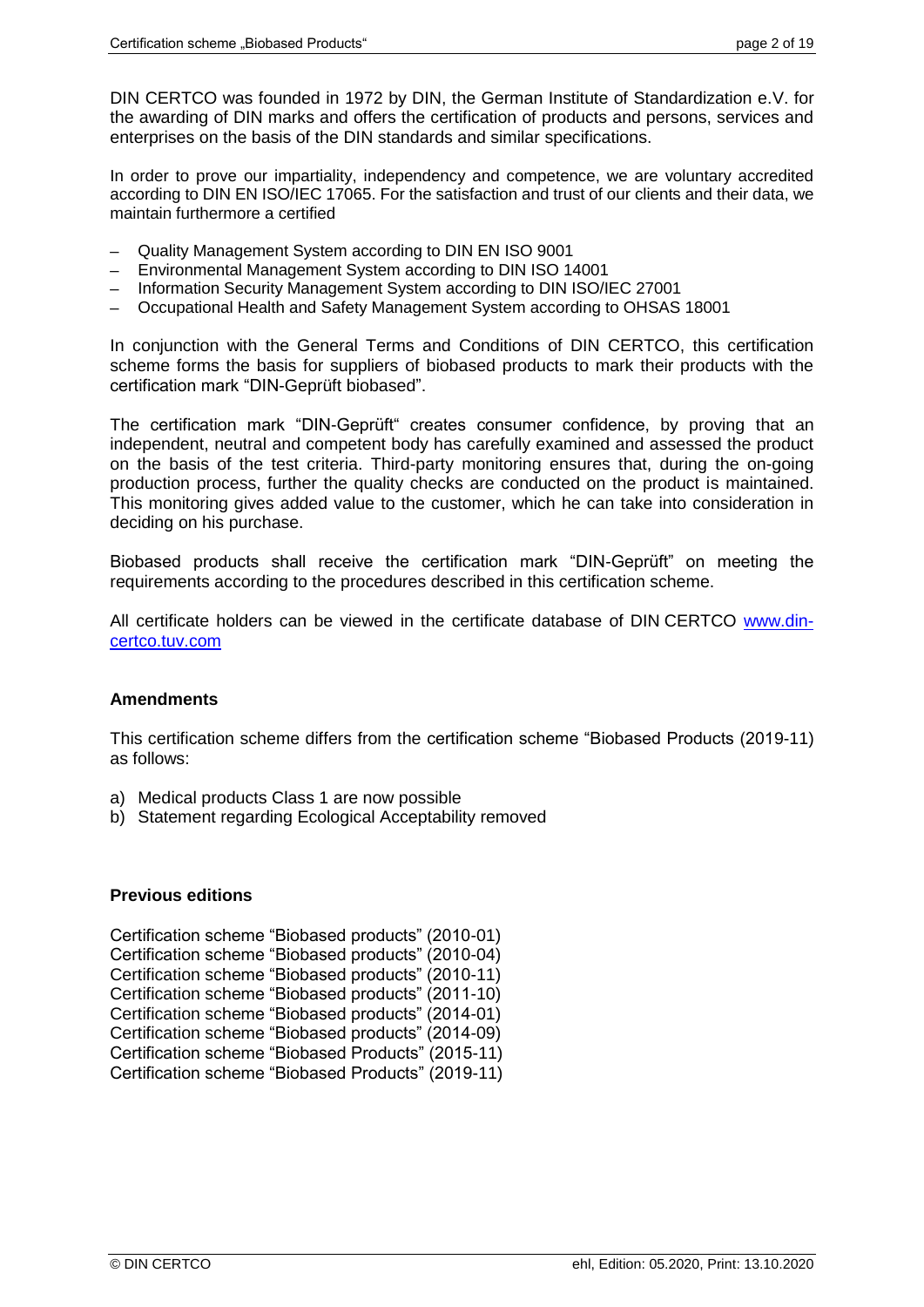DIN CERTCO was founded in 1972 by DIN, the German Institute of Standardization e.V. for the awarding of DIN marks and offers the certification of products and persons, services and enterprises on the basis of the DIN standards and similar specifications.

In order to prove our impartiality, independency and competence, we are voluntary accredited according to DIN EN ISO/IEC 17065. For the satisfaction and trust of our clients and their data, we maintain furthermore a certified

- Quality Management System according to DIN EN ISO 9001
- Environmental Management System according to DIN ISO 14001
- Information Security Management System according to DIN ISO/IEC 27001
- ─ Occupational Health and Safety Management System according to OHSAS 18001

In conjunction with the General Terms and Conditions of DIN CERTCO, this certification scheme forms the basis for suppliers of biobased products to mark their products with the certification mark "DIN-Geprüft biobased".

The certification mark "DIN-Geprüft" creates consumer confidence, by proving that an independent, neutral and competent body has carefully examined and assessed the product on the basis of the test criteria. Third-party monitoring ensures that, during the on-going production process, further the quality checks are conducted on the product is maintained. This monitoring gives added value to the customer, which he can take into consideration in deciding on his purchase.

Biobased products shall receive the certification mark "DIN-Geprüft" on meeting the requirements according to the procedures described in this certification scheme.

All certificate holders can be viewed in the certificate database of DIN CERTCO [www.din](http://www.dincertco.tuv.com/)[certco.tuv.com](http://www.dincertco.tuv.com/)

# **Amendments**

This certification scheme differs from the certification scheme "Biobased Products (2019-11) as follows:

- a) Medical products Class 1 are now possible
- b) Statement regarding Ecological Acceptability removed

#### **Previous editions**

| Certification scheme "Biobased products" (2010-01) |
|----------------------------------------------------|
| Certification scheme "Biobased products" (2010-04) |
| Certification scheme "Biobased products" (2010-11) |
| Certification scheme "Biobased products" (2011-10) |
| Certification scheme "Biobased products" (2014-01) |
| Certification scheme "Biobased products" (2014-09) |
| Certification scheme "Biobased Products" (2015-11) |
| Certification scheme "Biobased Products" (2019-11) |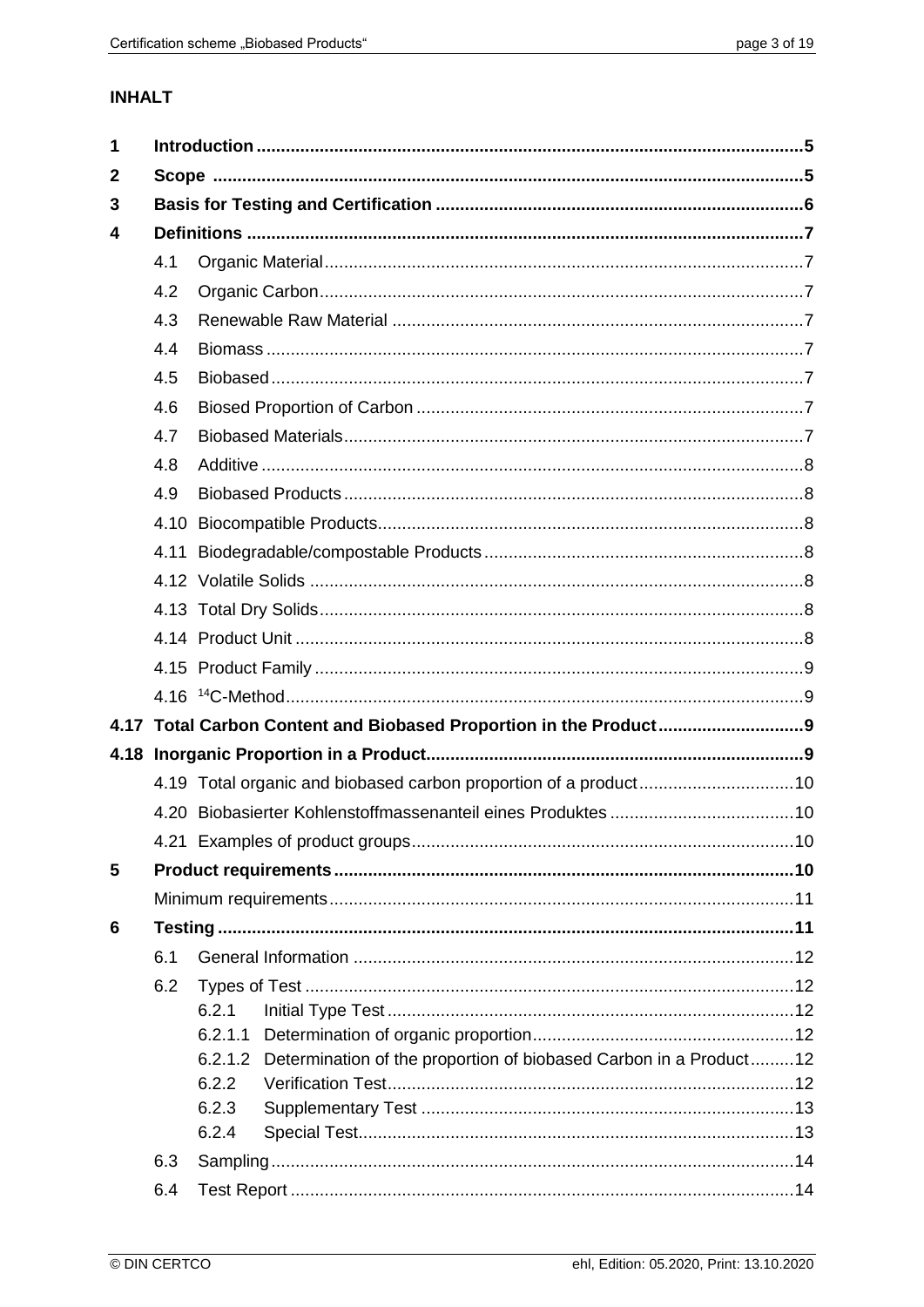# **INHALT**

| $\mathbf{2}$                                                                 |  |  |  |  |
|------------------------------------------------------------------------------|--|--|--|--|
| 3                                                                            |  |  |  |  |
| 4                                                                            |  |  |  |  |
| 4.1                                                                          |  |  |  |  |
| 4.2                                                                          |  |  |  |  |
| 4.3                                                                          |  |  |  |  |
| 4.4                                                                          |  |  |  |  |
| 4.5                                                                          |  |  |  |  |
| 4.6                                                                          |  |  |  |  |
| 4.7                                                                          |  |  |  |  |
| 4.8                                                                          |  |  |  |  |
| 4.9                                                                          |  |  |  |  |
| 4.10                                                                         |  |  |  |  |
|                                                                              |  |  |  |  |
|                                                                              |  |  |  |  |
|                                                                              |  |  |  |  |
|                                                                              |  |  |  |  |
|                                                                              |  |  |  |  |
|                                                                              |  |  |  |  |
|                                                                              |  |  |  |  |
|                                                                              |  |  |  |  |
| 4.19 Total organic and biobased carbon proportion of a product10             |  |  |  |  |
|                                                                              |  |  |  |  |
|                                                                              |  |  |  |  |
| 5                                                                            |  |  |  |  |
|                                                                              |  |  |  |  |
| 6                                                                            |  |  |  |  |
| 6.1                                                                          |  |  |  |  |
| 6.2                                                                          |  |  |  |  |
| 6.2.1                                                                        |  |  |  |  |
| 6.2.1.1                                                                      |  |  |  |  |
| Determination of the proportion of biobased Carbon in a Product12<br>6.2.1.2 |  |  |  |  |
| 6.2.2<br>6.2.3                                                               |  |  |  |  |
| 6.2.4                                                                        |  |  |  |  |
| 6.3                                                                          |  |  |  |  |
| 6.4                                                                          |  |  |  |  |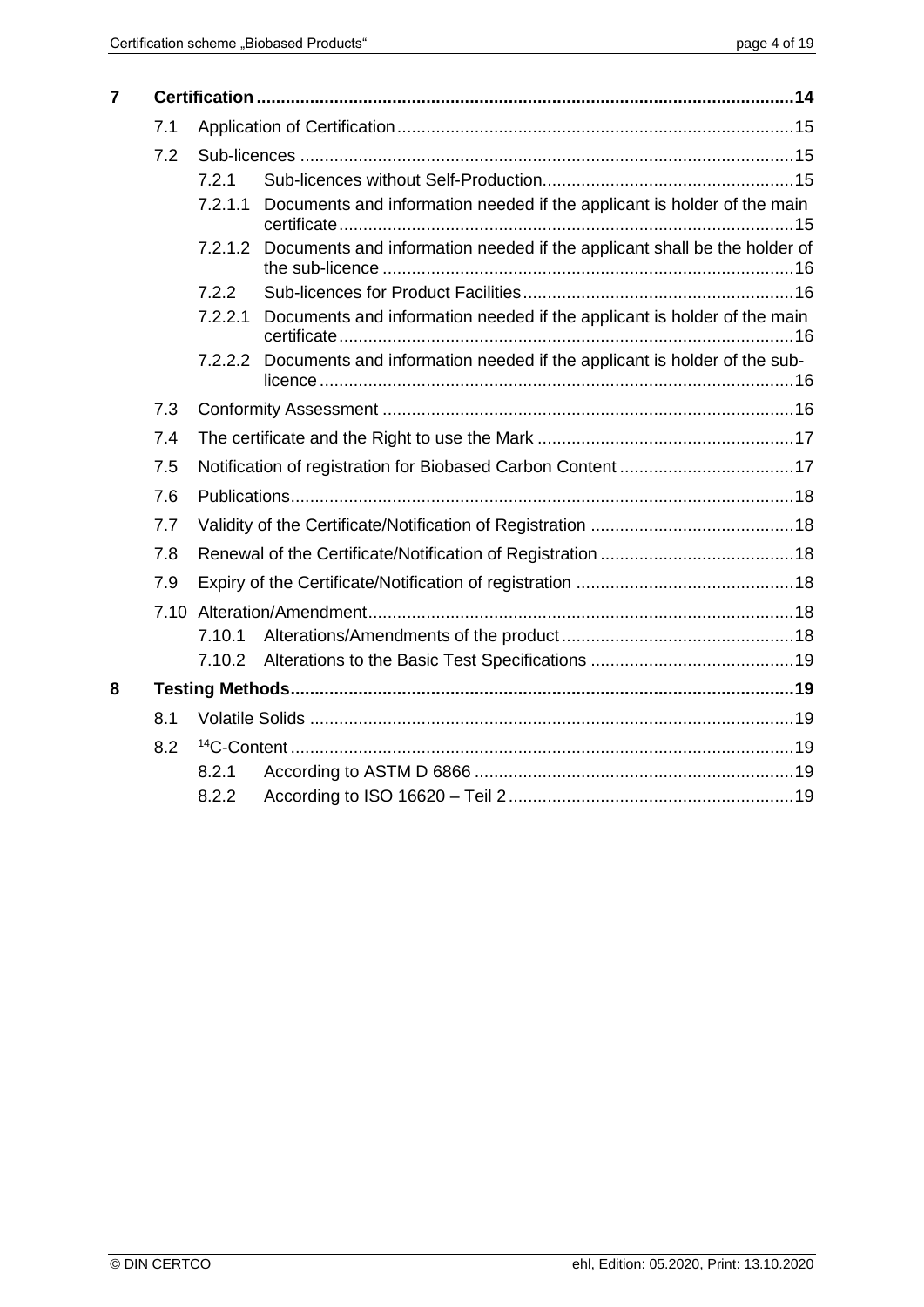| $\overline{\mathbf{r}}$ |      |         |                                                                                 |  |  |
|-------------------------|------|---------|---------------------------------------------------------------------------------|--|--|
|                         | 7.1  |         |                                                                                 |  |  |
|                         | 7.2  |         |                                                                                 |  |  |
|                         |      | 7.2.1   |                                                                                 |  |  |
|                         |      | 7.2.1.1 | Documents and information needed if the applicant is holder of the main         |  |  |
|                         |      | 7.2.1.2 | Documents and information needed if the applicant shall be the holder of        |  |  |
|                         |      | 7.2.2   |                                                                                 |  |  |
|                         |      | 7.2.2.1 | Documents and information needed if the applicant is holder of the main         |  |  |
|                         |      |         | 7.2.2.2 Documents and information needed if the applicant is holder of the sub- |  |  |
|                         | 7.3  |         |                                                                                 |  |  |
|                         | 7.4  |         |                                                                                 |  |  |
|                         | 7.5  |         |                                                                                 |  |  |
| 7.6<br>7.7<br>7.8       |      |         |                                                                                 |  |  |
|                         |      |         |                                                                                 |  |  |
|                         |      |         |                                                                                 |  |  |
|                         | 7.9  |         |                                                                                 |  |  |
|                         | 7.10 |         |                                                                                 |  |  |
|                         |      | 7.10.1  |                                                                                 |  |  |
|                         |      |         |                                                                                 |  |  |
| 8                       |      |         |                                                                                 |  |  |
|                         | 8.1  |         |                                                                                 |  |  |
|                         | 8.2  |         |                                                                                 |  |  |
|                         |      | 8.2.1   |                                                                                 |  |  |
|                         |      | 8.2.2   |                                                                                 |  |  |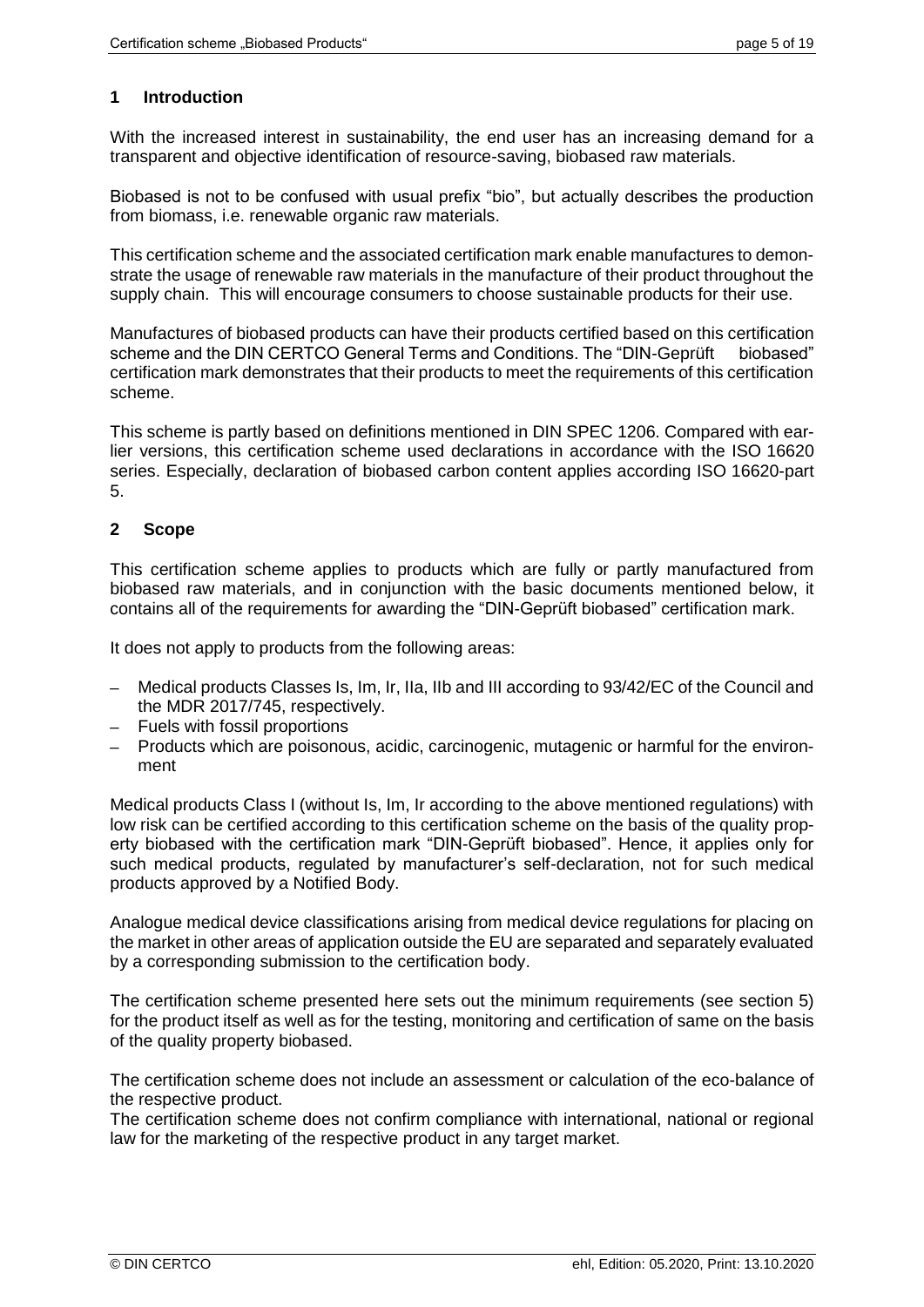# **1 Introduction**

With the increased interest in sustainability, the end user has an increasing demand for a transparent and objective identification of resource-saving, biobased raw materials.

Biobased is not to be confused with usual prefix "bio", but actually describes the production from biomass, i.e. renewable organic raw materials.

This certification scheme and the associated certification mark enable manufactures to demonstrate the usage of renewable raw materials in the manufacture of their product throughout the supply chain. This will encourage consumers to choose sustainable products for their use.

Manufactures of biobased products can have their products certified based on this certification scheme and the DIN CERTCO General Terms and Conditions. The "DIN-Geprüft biobased" certification mark demonstrates that their products to meet the requirements of this certification scheme.

This scheme is partly based on definitions mentioned in DIN SPEC 1206. Compared with earlier versions, this certification scheme used declarations in accordance with the ISO 16620 series. Especially, declaration of biobased carbon content applies according ISO 16620-part 5.

# <span id="page-4-0"></span>**2 Scope**

This certification scheme applies to products which are fully or partly manufactured from biobased raw materials, and in conjunction with the basic documents mentioned below, it contains all of the requirements for awarding the "DIN-Geprüft biobased" certification mark.

It does not apply to products from the following areas:

- Medical products Classes Is, Im, Ir, IIa, IIb and III according to 93/42/EC of the Council and the MDR 2017/745, respectively.
- Fuels with fossil proportions
- Products which are poisonous, acidic, carcinogenic, mutagenic or harmful for the environment

Medical products Class I (without Is, Im, Ir according to the above mentioned regulations) with low risk can be certified according to this certification scheme on the basis of the quality property biobased with the certification mark "DIN-Geprüft biobased". Hence, it applies only for such medical products, regulated by manufacturer's self-declaration, not for such medical products approved by a Notified Body.

Analogue medical device classifications arising from medical device regulations for placing on the market in other areas of application outside the EU are separated and separately evaluated by a corresponding submission to the certification body.

The certification scheme presented here sets out the minimum requirements (see section 5) for the product itself as well as for the testing, monitoring and certification of same on the basis of the quality property biobased.

The certification scheme does not include an assessment or calculation of the eco-balance of the respective product.

The certification scheme does not confirm compliance with international, national or regional law for the marketing of the respective product in any target market.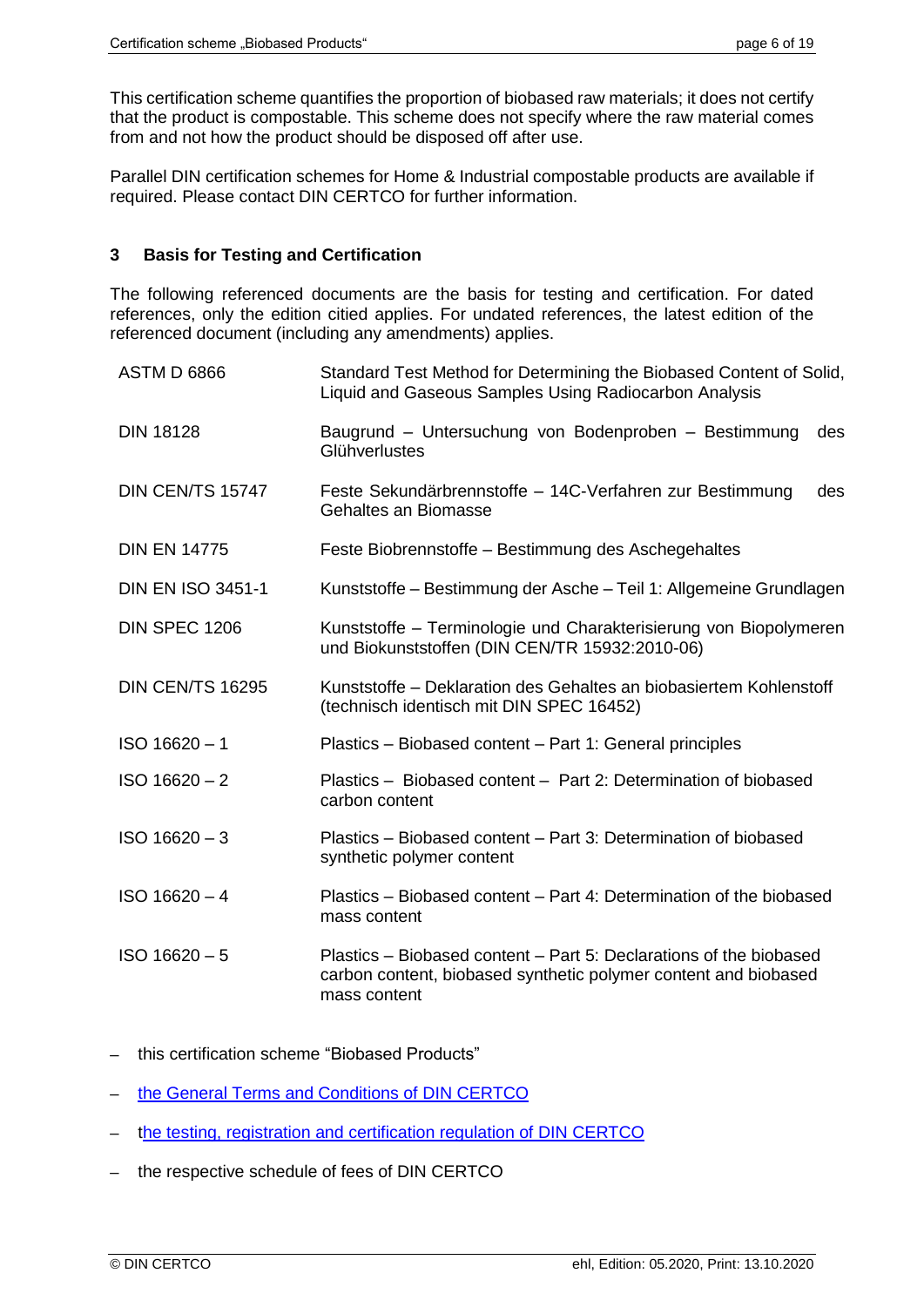This certification scheme quantifies the proportion of biobased raw materials; it does not certify that the product is compostable. This scheme does not specify where the raw material comes from and not how the product should be disposed off after use.

Parallel DIN certification schemes for Home & Industrial compostable products are available if required. Please contact DIN CERTCO for further information.

## **3 Basis for Testing and Certification**

The following referenced documents are the basis for testing and certification. For dated references, only the edition citied applies. For undated references, the latest edition of the referenced document (including any amendments) applies.

| <b>ASTM D 6866</b>       | Standard Test Method for Determining the Biobased Content of Solid,<br>Liquid and Gaseous Samples Using Radiocarbon Analysis                          |
|--------------------------|-------------------------------------------------------------------------------------------------------------------------------------------------------|
| <b>DIN 18128</b>         | Baugrund - Untersuchung von Bodenproben - Bestimmung<br>des<br>Glühverlustes                                                                          |
| DIN CEN/TS 15747         | Feste Sekundärbrennstoffe - 14C-Verfahren zur Bestimmung<br>des<br>Gehaltes an Biomasse                                                               |
| <b>DIN EN 14775</b>      | Feste Biobrennstoffe - Bestimmung des Aschegehaltes                                                                                                   |
| <b>DIN EN ISO 3451-1</b> | Kunststoffe – Bestimmung der Asche – Teil 1: Allgemeine Grundlagen                                                                                    |
| DIN SPEC 1206            | Kunststoffe - Terminologie und Charakterisierung von Biopolymeren<br>und Biokunststoffen (DIN CEN/TR 15932:2010-06)                                   |
| DIN CEN/TS 16295         | Kunststoffe – Deklaration des Gehaltes an biobasiertem Kohlenstoff<br>(technisch identisch mit DIN SPEC 16452)                                        |
| $ISO 16620 - 1$          | Plastics - Biobased content - Part 1: General principles                                                                                              |
| $ISO 16620 - 2$          | Plastics - Biobased content - Part 2: Determination of biobased<br>carbon content                                                                     |
| $ISO 16620 - 3$          | Plastics – Biobased content – Part 3: Determination of biobased<br>synthetic polymer content                                                          |
| $ISO 16620 - 4$          | Plastics – Biobased content – Part 4: Determination of the biobased<br>mass content                                                                   |
| $ISO 16620 - 5$          | Plastics – Biobased content – Part 5: Declarations of the biobased<br>carbon content, biobased synthetic polymer content and biobased<br>mass content |

- ─ this certification scheme "Biobased Products"
- [the General Terms and Conditions of DIN CERTCO](http://www.dincertco.de/gtc)
- [the testing, registration and certification regulation of DIN CERTCO](http://www.dincertco.de/gtc)
- the respective schedule of fees of DIN CERTCO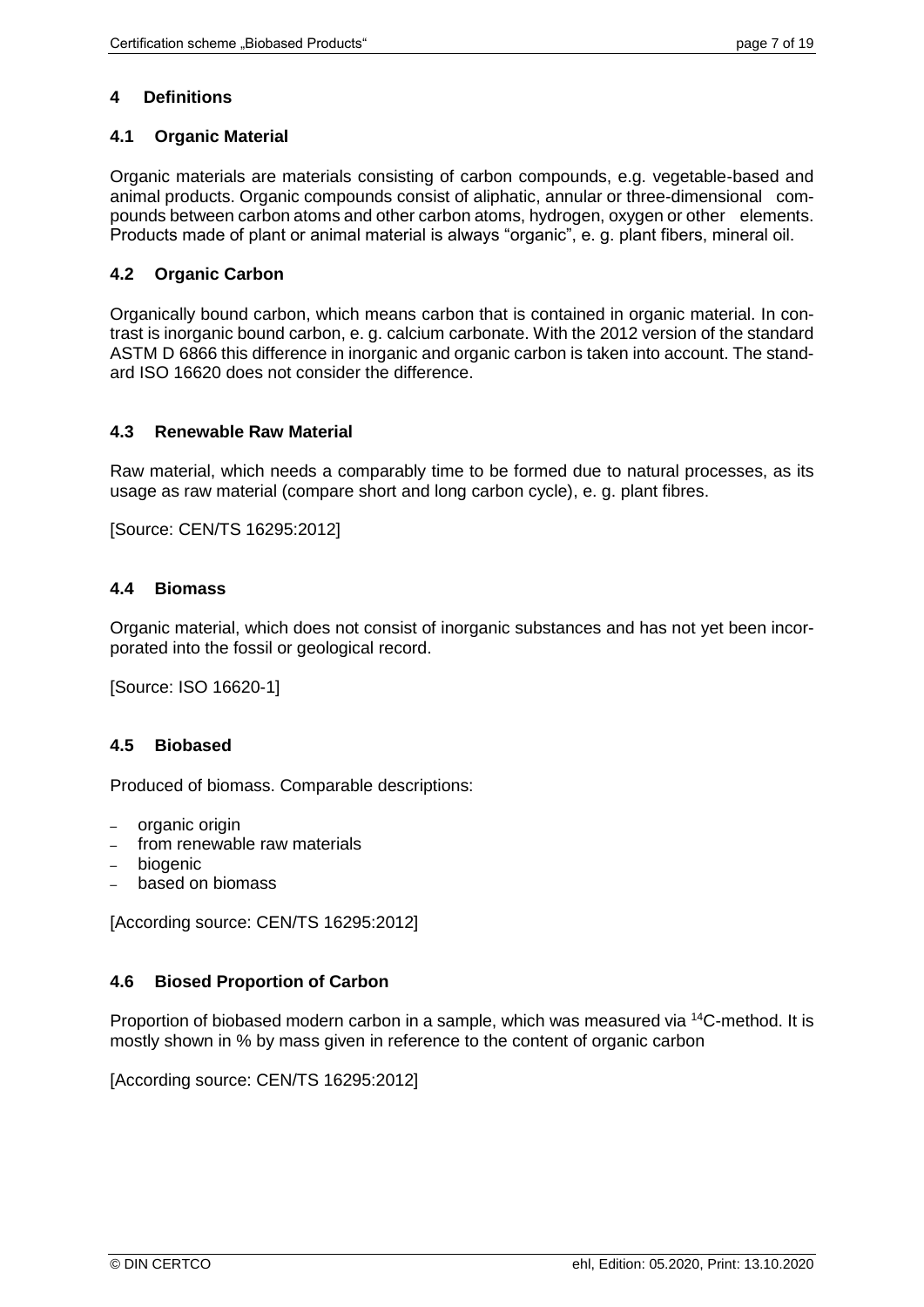# **4 Definitions**

# **4.1 Organic Material**

Organic materials are materials consisting of carbon compounds, e.g. vegetable-based and animal products. Organic compounds consist of aliphatic, annular or three-dimensional compounds between carbon atoms and other carbon atoms, hydrogen, oxygen or other elements. Products made of plant or animal material is always "organic", e. g. plant fibers, mineral oil.

# **4.2 Organic Carbon**

Organically bound carbon, which means carbon that is contained in organic material. In contrast is inorganic bound carbon, e. g. calcium carbonate. With the 2012 version of the standard ASTM D 6866 this difference in inorganic and organic carbon is taken into account. The standard ISO 16620 does not consider the difference.

#### **4.3 Renewable Raw Material**

Raw material, which needs a comparably time to be formed due to natural processes, as its usage as raw material (compare short and long carbon cycle), e. g. plant fibres.

[Source: CEN/TS 16295:2012]

# **4.4 Biomass**

Organic material, which does not consist of inorganic substances and has not yet been incorporated into the fossil or geological record.

[Source: ISO 16620-1]

# **4.5 Biobased**

Produced of biomass. Comparable descriptions:

- organic origin
- from renewable raw materials
- biogenic
- based on biomass

[According source: CEN/TS 16295:2012]

# **4.6 Biosed Proportion of Carbon**

Proportion of biobased modern carbon in a sample, which was measured via <sup>14</sup>C-method. It is mostly shown in % by mass given in reference to the content of organic carbon

[According source: CEN/TS 16295:2012]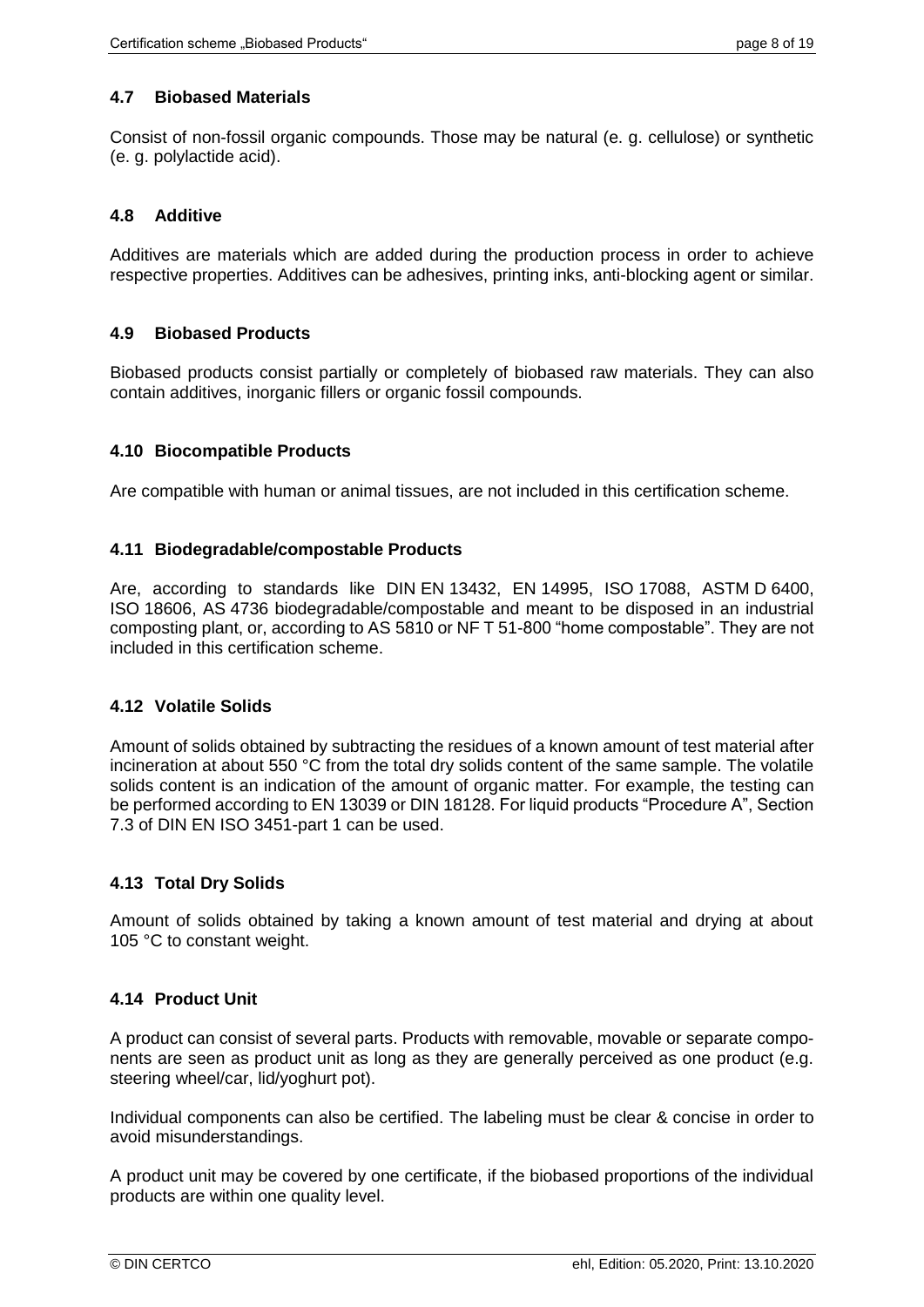# **4.7 Biobased Materials**

Consist of non-fossil organic compounds. Those may be natural (e. g. cellulose) or synthetic (e. g. polylactide acid).

## **4.8 Additive**

Additives are materials which are added during the production process in order to achieve respective properties. Additives can be adhesives, printing inks, anti-blocking agent or similar.

# **4.9 Biobased Products**

Biobased products consist partially or completely of biobased raw materials. They can also contain additives, inorganic fillers or organic fossil compounds.

#### **4.10 Biocompatible Products**

Are compatible with human or animal tissues, are not included in this certification scheme.

#### **4.11 Biodegradable/compostable Products**

Are, according to standards like DIN EN 13432, EN 14995, ISO 17088, ASTM D 6400, ISO 18606, AS 4736 biodegradable/compostable and meant to be disposed in an industrial composting plant, or, according to AS 5810 or NF T 51-800 "home compostable". They are not included in this certification scheme.

# **4.12 Volatile Solids**

Amount of solids obtained by subtracting the residues of a known amount of test material after incineration at about 550 °C from the total dry solids content of the same sample. The volatile solids content is an indication of the amount of organic matter. For example, the testing can be performed according to EN 13039 or DIN 18128. For liquid products "Procedure A", Section 7.3 of DIN EN ISO 3451-part 1 can be used.

# **4.13 Total Dry Solids**

Amount of solids obtained by taking a known amount of test material and drying at about 105 °C to constant weight.

# **4.14 Product Unit**

A product can consist of several parts. Products with removable, movable or separate components are seen as product unit as long as they are generally perceived as one product (e.g. steering wheel/car, lid/yoghurt pot).

Individual components can also be certified. The labeling must be clear & concise in order to avoid misunderstandings.

A product unit may be covered by one certificate, if the biobased proportions of the individual products are within one quality level.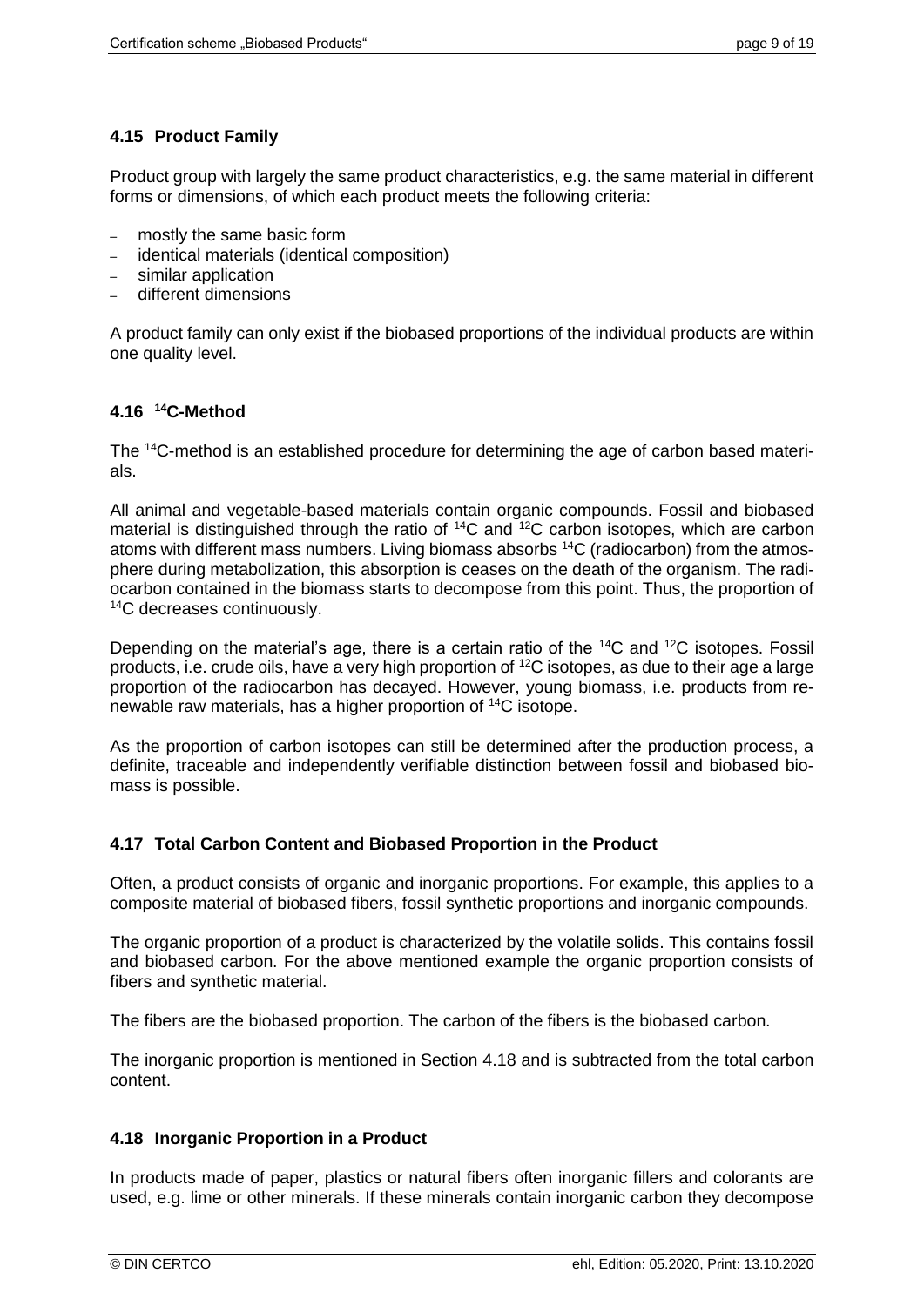# **4.15 Product Family**

Product group with largely the same product characteristics, e.g. the same material in different forms or dimensions, of which each product meets the following criteria:

- mostly the same basic form
- identical materials (identical composition)
- similar application
- different dimensions

A product family can only exist if the biobased proportions of the individual products are within one quality level.

# **4.16 <sup>14</sup>C-Method**

The 14C-method is an established procedure for determining the age of carbon based materials.

All animal and vegetable-based materials contain organic compounds. Fossil and biobased material is distinguished through the ratio of <sup>14</sup>C and <sup>12</sup>C carbon isotopes, which are carbon atoms with different mass numbers. Living biomass absorbs 14C (radiocarbon) from the atmosphere during metabolization, this absorption is ceases on the death of the organism. The radiocarbon contained in the biomass starts to decompose from this point. Thus, the proportion of <sup>14</sup>C decreases continuously.

Depending on the material's age, there is a certain ratio of the <sup>14</sup>C and <sup>12</sup>C isotopes. Fossil products, i.e. crude oils, have a very high proportion of <sup>12</sup>C isotopes, as due to their age a large proportion of the radiocarbon has decayed. However, young biomass, i.e. products from renewable raw materials, has a higher proportion of <sup>14</sup>C isotope.

As the proportion of carbon isotopes can still be determined after the production process, a definite, traceable and independently verifiable distinction between fossil and biobased biomass is possible.

# **4.17 Total Carbon Content and Biobased Proportion in the Product**

Often, a product consists of organic and inorganic proportions. For example, this applies to a composite material of biobased fibers, fossil synthetic proportions and inorganic compounds.

The organic proportion of a product is characterized by the volatile solids. This contains fossil and biobased carbon. For the above mentioned example the organic proportion consists of fibers and synthetic material.

The fibers are the biobased proportion. The carbon of the fibers is the biobased carbon.

The inorganic proportion is mentioned in Section [4.18](#page-8-0) and is subtracted from the total carbon content.

# <span id="page-8-0"></span>**4.18 Inorganic Proportion in a Product**

In products made of paper, plastics or natural fibers often inorganic fillers and colorants are used, e.g. lime or other minerals. If these minerals contain inorganic carbon they decompose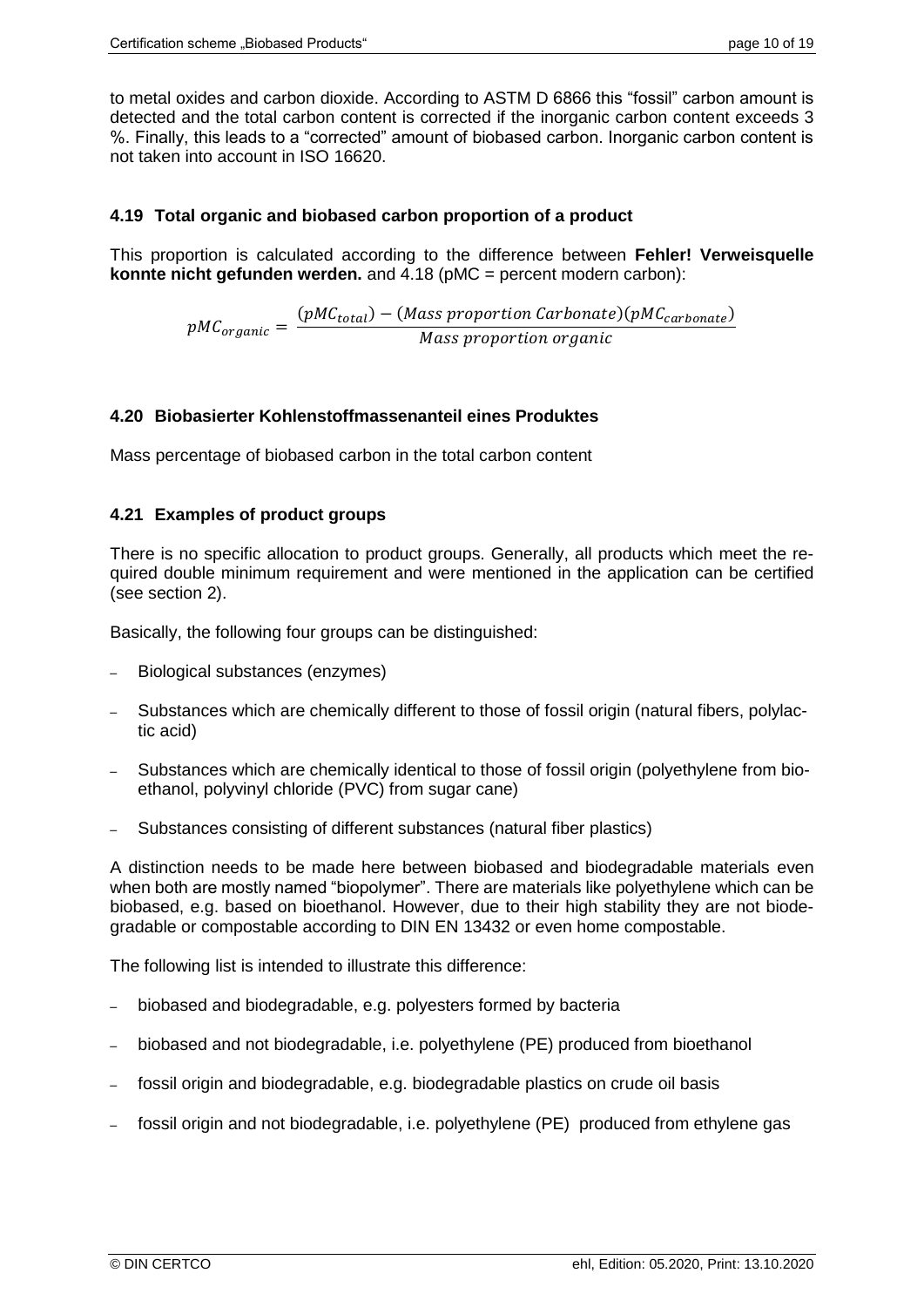to metal oxides and carbon dioxide. According to ASTM D 6866 this "fossil" carbon amount is detected and the total carbon content is corrected if the inorganic carbon content exceeds 3 %. Finally, this leads to a "corrected" amount of biobased carbon. Inorganic carbon content is not taken into account in ISO 16620.

# **4.19 Total organic and biobased carbon proportion of a product**

This proportion is calculated according to the difference between **Fehler! Verweisquelle konnte nicht gefunden werden.** and [4.18](#page-8-0) (pMC = percent modern carbon):

> $pMC_{organic}=$  $(pMC_{total}) - (Mass\,proportion\,Carbonate)(pMC_{carbonate})$ Mass proportion organic

#### **4.20 Biobasierter Kohlenstoffmassenanteil eines Produktes**

Mass percentage of biobased carbon in the total carbon content

#### **4.21 Examples of product groups**

There is no specific allocation to product groups. Generally, all products which meet the required double minimum requirement and were mentioned in the application can be certified (see section [2\)](#page-4-0).

Basically, the following four groups can be distinguished:

- Biological substances (enzymes)
- Substances which are chemically different to those of fossil origin (natural fibers, polylactic acid)
- Substances which are chemically identical to those of fossil origin (polyethylene from bioethanol, polyvinyl chloride (PVC) from sugar cane)
- Substances consisting of different substances (natural fiber plastics)

A distinction needs to be made here between biobased and biodegradable materials even when both are mostly named "biopolymer". There are materials like polyethylene which can be biobased, e.g. based on bioethanol. However, due to their high stability they are not biodegradable or compostable according to DIN EN 13432 or even home compostable.

The following list is intended to illustrate this difference:

- biobased and biodegradable, e.g. polyesters formed by bacteria
- biobased and not biodegradable, i.e. polyethylene (PE) produced from bioethanol
- fossil origin and biodegradable, e.g. biodegradable plastics on crude oil basis
- <span id="page-9-0"></span>fossil origin and not biodegradable, i.e. polyethylene (PE) produced from ethylene gas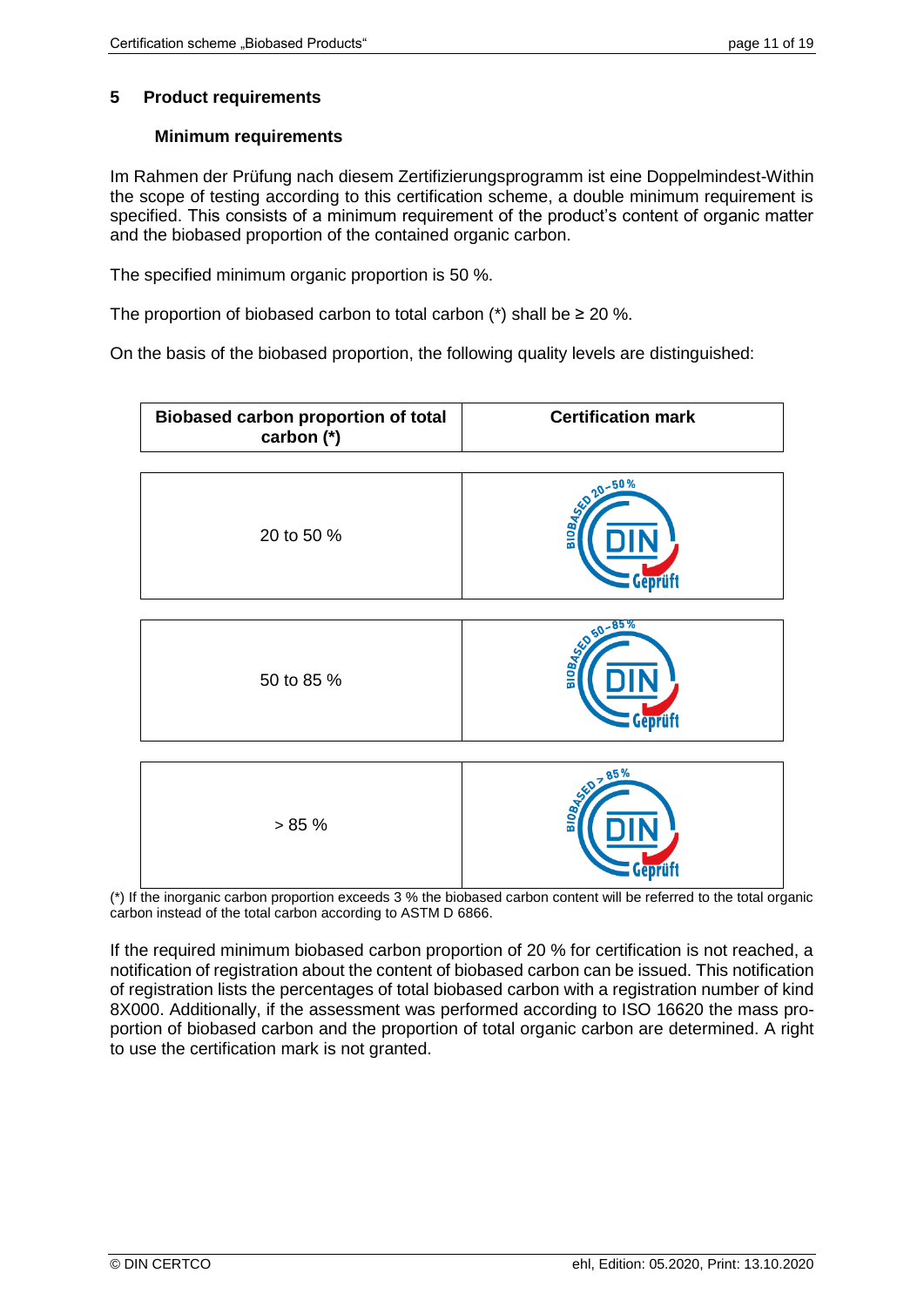# <span id="page-10-0"></span>**5 Product requirements**

# **Minimum requirements**

Im Rahmen der Prüfung nach diesem Zertifizierungsprogramm ist eine Doppelmindest-Within the scope of testing according to this certification scheme, a double minimum requirement is specified. This consists of a minimum requirement of the product's content of organic matter and the biobased proportion of the contained organic carbon.

The specified minimum organic proportion is 50 %.

The proportion of biobased carbon to total carbon  $(*)$  shall be  $\geq 20$  %.

On the basis of the biobased proportion, the following quality levels are distinguished:



(\*) If the inorganic carbon proportion exceeds 3 % the biobased carbon content will be referred to the total organic carbon instead of the total carbon according to ASTM D 6866.

If the required minimum biobased carbon proportion of 20 % for certification is not reached, a notification of registration about the content of biobased carbon can be issued. This notification of registration lists the percentages of total biobased carbon with a registration number of kind 8X000. Additionally, if the assessment was performed according to ISO 16620 the mass proportion of biobased carbon and the proportion of total organic carbon are determined. A right to use the certification mark is not granted.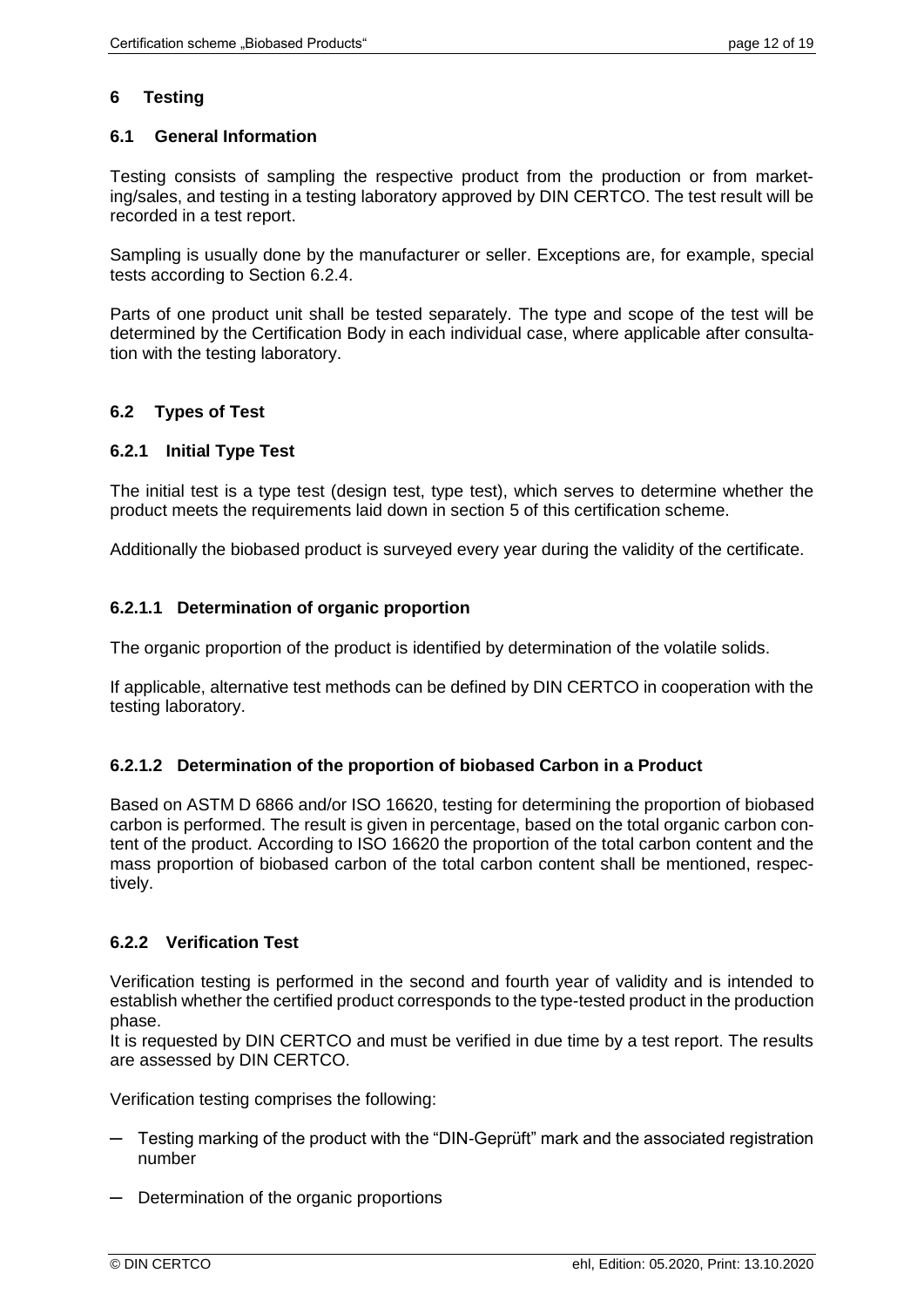# **6 Testing**

# **6.1 General Information**

Testing consists of sampling the respective product from the production or from marketing/sales, and testing in a testing laboratory approved by DIN CERTCO. The test result will be recorded in a test report.

Sampling is usually done by the manufacturer or seller. Exceptions are, for example, special tests according to Section [6.2.4.](#page-12-0)

Parts of one product unit shall be tested separately. The type and scope of the test will be determined by the Certification Body in each individual case, where applicable after consultation with the testing laboratory.

# **6.2 Types of Test**

# <span id="page-11-0"></span>**6.2.1 Initial Type Test**

The initial test is a type test (design test, type test), which serves to determine whether the product meets the requirements laid down in section [5](#page-10-0) of this certification scheme.

Additionally the biobased product is surveyed every year during the validity of the certificate.

#### **6.2.1.1 Determination of organic proportion**

The organic proportion of the product is identified by determination of the volatile solids.

If applicable, alternative test methods can be defined by DIN CERTCO in cooperation with the testing laboratory.

# **6.2.1.2 Determination of the proportion of biobased Carbon in a Product**

Based on ASTM D 6866 and/or ISO 16620, testing for determining the proportion of biobased carbon is performed. The result is given in percentage, based on the total organic carbon content of the product. According to ISO 16620 the proportion of the total carbon content and the mass proportion of biobased carbon of the total carbon content shall be mentioned, respectively.

# **6.2.2 Verification Test**

Verification testing is performed in the second and fourth year of validity and is intended to establish whether the certified product corresponds to the type-tested product in the production phase.

It is requested by DIN CERTCO and must be verified in due time by a test report. The results are assessed by DIN CERTCO.

Verification testing comprises the following:

- $-$  Testing marking of the product with the "DIN-Geprüft" mark and the associated registration number
- ─ Determination of the organic proportions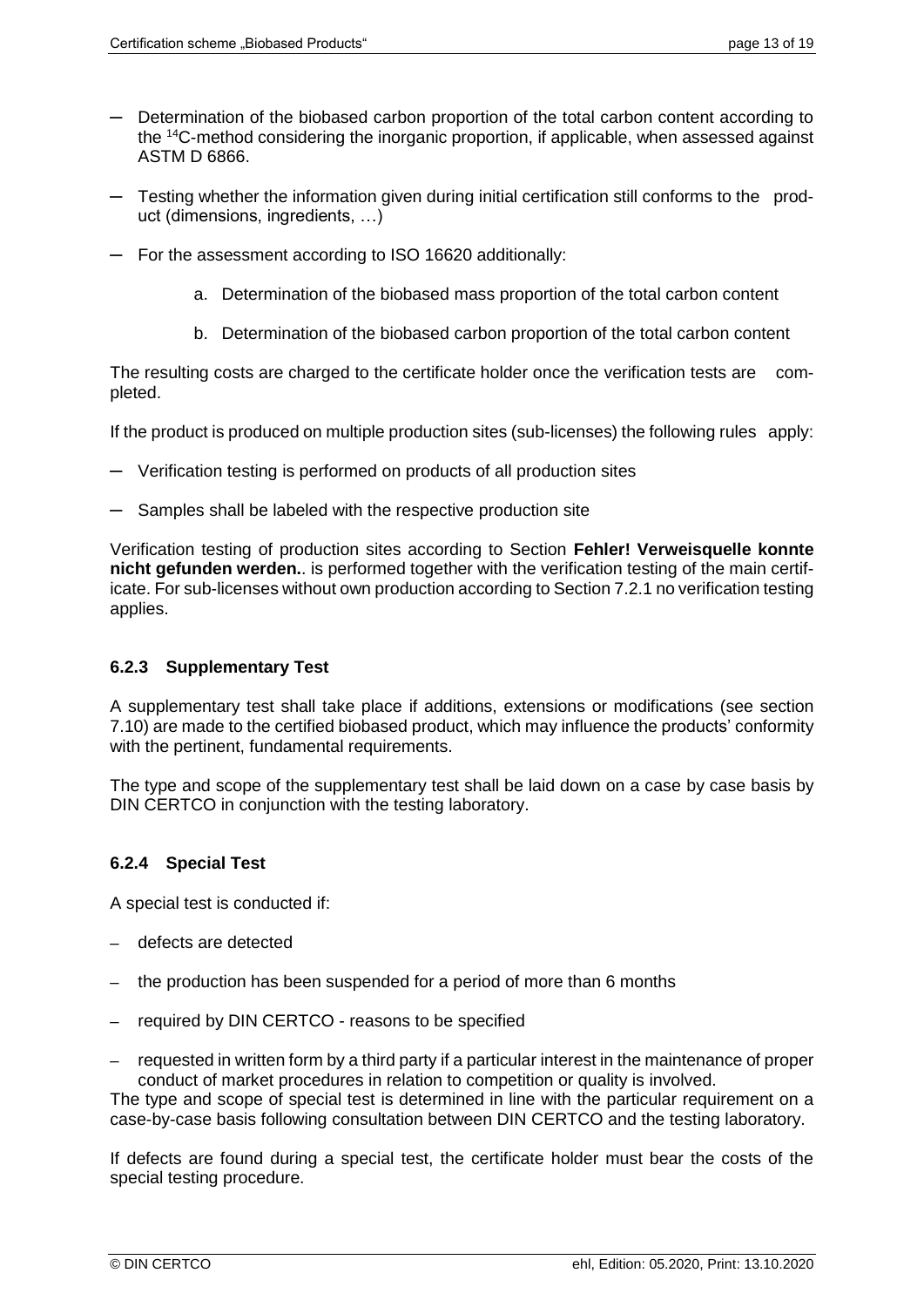- ─ Determination of the biobased carbon proportion of the total carbon content according to the <sup>14</sup>C-method considering the inorganic proportion, if applicable, when assessed against ASTM D 6866.
- ─ Testing whether the information given during initial certification still conforms to the product (dimensions, ingredients, …)
- ─ For the assessment according to ISO 16620 additionally:
	- a. Determination of the biobased mass proportion of the total carbon content
	- b. Determination of the biobased carbon proportion of the total carbon content

The resulting costs are charged to the certificate holder once the verification tests are completed.

If the product is produced on multiple production sites (sub-licenses) the following rules apply:

- ─ Verification testing is performed on products of all production sites
- ─ Samples shall be labeled with the respective production site

Verification testing of production sites according to Section **Fehler! Verweisquelle konnte nicht gefunden werden.**. is performed together with the verification testing of the main certificate. For sub-licenses without own production according to Sectio[n 7.2.1](#page-14-0) no verification testing applies.

# <span id="page-12-1"></span>**6.2.3 Supplementary Test**

A supplementary test shall take place if additions, extensions or modifications (see section [7.10\)](#page-17-0) are made to the certified biobased product, which may influence the products' conformity with the pertinent, fundamental requirements.

The type and scope of the supplementary test shall be laid down on a case by case basis by DIN CERTCO in conjunction with the testing laboratory.

# <span id="page-12-0"></span>**6.2.4 Special Test**

A special test is conducted if:

- ─ defects are detected
- the production has been suspended for a period of more than 6 months
- required by DIN CERTCO reasons to be specified
- requested in written form by a third party if a particular interest in the maintenance of proper conduct of market procedures in relation to competition or quality is involved.

The type and scope of special test is determined in line with the particular requirement on a case-by-case basis following consultation between DIN CERTCO and the testing laboratory.

If defects are found during a special test, the certificate holder must bear the costs of the special testing procedure.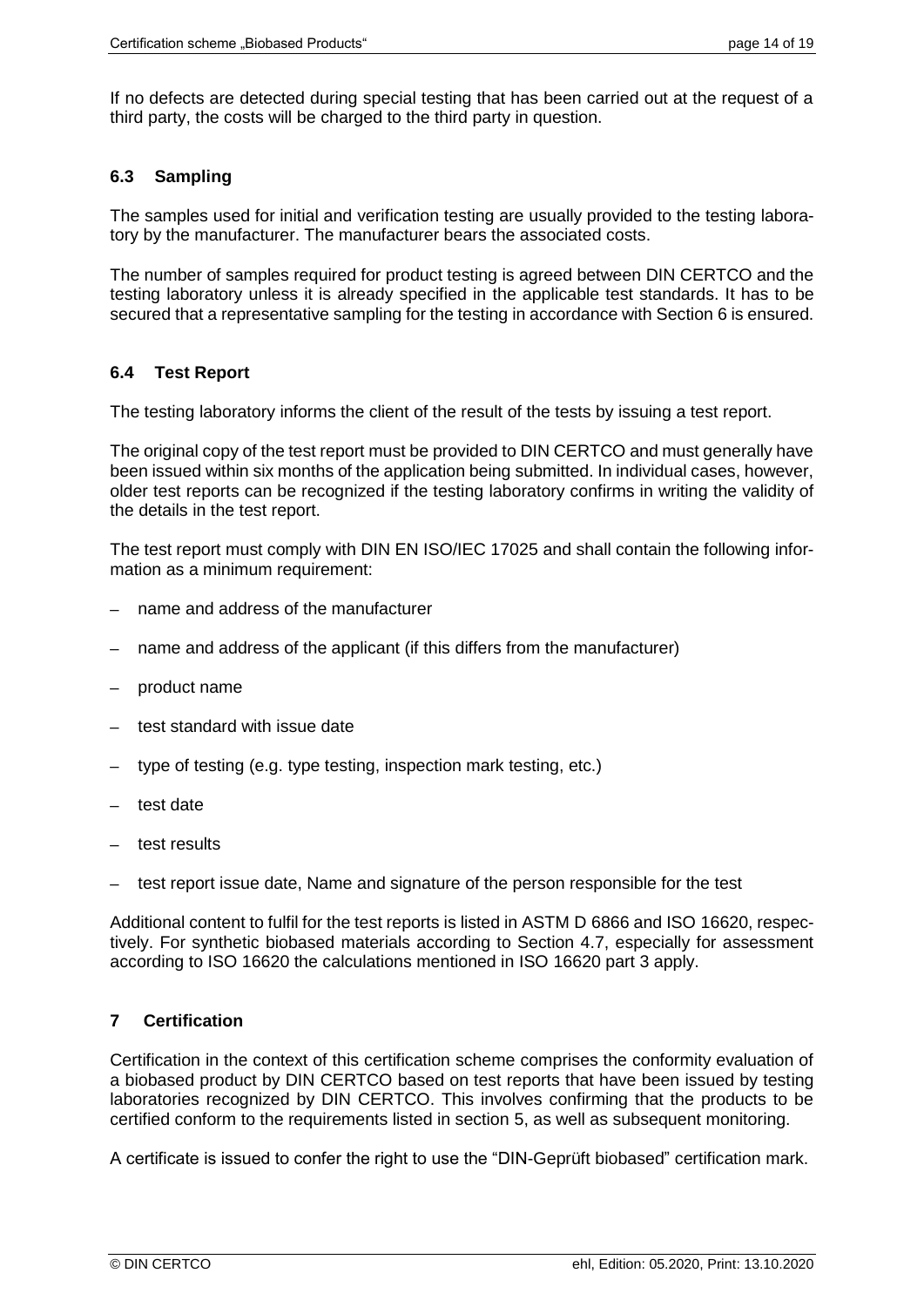If no defects are detected during special testing that has been carried out at the request of a third party, the costs will be charged to the third party in question.

# **6.3 Sampling**

The samples used for initial and verification testing are usually provided to the testing laboratory by the manufacturer. The manufacturer bears the associated costs.

The number of samples required for product testing is agreed between DIN CERTCO and the testing laboratory unless it is already specified in the applicable test standards. It has to be secured that a representative sampling for the testing in accordance with Section 6 is ensured.

# <span id="page-13-0"></span>**6.4 Test Report**

The testing laboratory informs the client of the result of the tests by issuing a test report.

The original copy of the test report must be provided to DIN CERTCO and must generally have been issued within six months of the application being submitted. In individual cases, however, older test reports can be recognized if the testing laboratory confirms in writing the validity of the details in the test report.

The test report must comply with DIN EN ISO/IEC 17025 and shall contain the following information as a minimum requirement:

- name and address of the manufacturer
- name and address of the applicant (if this differs from the manufacturer)
- product name
- test standard with issue date
- type of testing (e.g. type testing, inspection mark testing, etc.)
- test date
- test results
- test report issue date, Name and signature of the person responsible for the test

Additional content to fulfil for the test reports is listed in ASTM D 6866 and ISO 16620, respectively. For synthetic biobased materials according to Section 4.7, especially for assessment according to ISO 16620 the calculations mentioned in ISO 16620 part 3 apply.

# **7 Certification**

Certification in the context of this certification scheme comprises the conformity evaluation of a biobased product by DIN CERTCO based on test reports that have been issued by testing laboratories recognized by DIN CERTCO. This involves confirming that the products to be certified conform to the requirements listed in section [5,](#page-9-0) as well as subsequent monitoring.

A certificate is issued to confer the right to use the "DIN-Geprüft biobased" certification mark.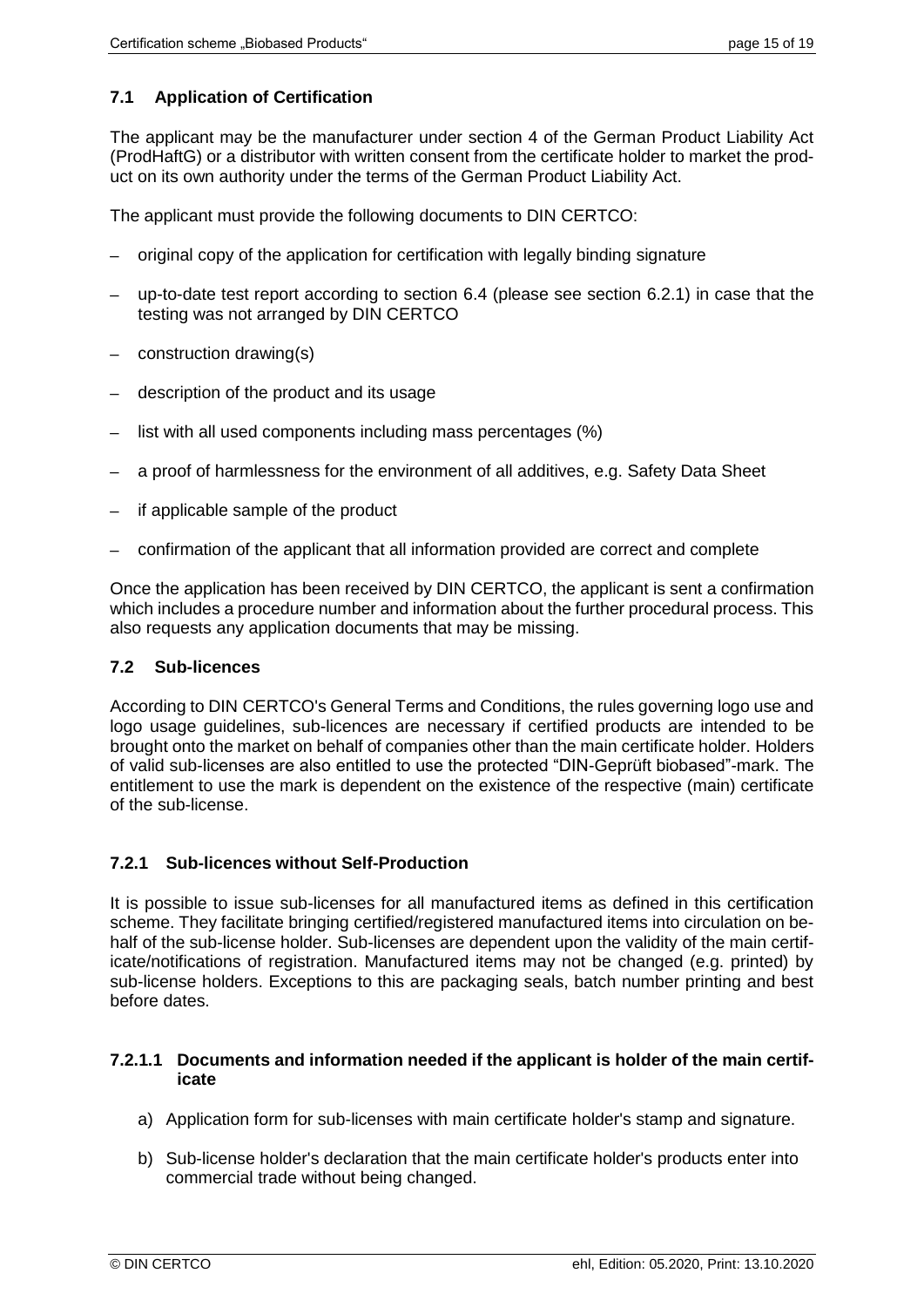# **7.1 Application of Certification**

The applicant may be the manufacturer under section 4 of the German Product Liability Act (ProdHaftG) or a distributor with written consent from the certificate holder to market the product on its own authority under the terms of the German Product Liability Act.

The applicant must provide the following documents to DIN CERTCO:

- ─ original copy of the application for certification with legally binding signature
- up-to-date test report according to section [6.4](#page-13-0) (please see section [6.2.1\)](#page-11-0) in case that the testing was not arranged by DIN CERTCO
- construction drawing(s)
- description of the product and its usage
- list with all used components including mass percentages (%)
- a proof of harmlessness for the environment of all additives, e.g. Safety Data Sheet
- if applicable sample of the product
- ─ confirmation of the applicant that all information provided are correct and complete

Once the application has been received by DIN CERTCO, the applicant is sent a confirmation which includes a procedure number and information about the further procedural process. This also requests any application documents that may be missing.

#### **7.2 Sub-licences**

According to DIN CERTCO's General Terms and Conditions, the rules governing logo use and logo usage guidelines, sub-licences are necessary if certified products are intended to be brought onto the market on behalf of companies other than the main certificate holder. Holders of valid sub-licenses are also entitled to use the protected "DIN-Geprüft biobased"-mark. The entitlement to use the mark is dependent on the existence of the respective (main) certificate of the sub-license.

#### <span id="page-14-0"></span>**7.2.1 Sub-licences without Self-Production**

It is possible to issue sub-licenses for all manufactured items as defined in this certification scheme. They facilitate bringing certified/registered manufactured items into circulation on behalf of the sub-license holder. Sub-licenses are dependent upon the validity of the main certificate/notifications of registration. Manufactured items may not be changed (e.g. printed) by sub-license holders. Exceptions to this are packaging seals, batch number printing and best before dates.

#### **7.2.1.1 Documents and information needed if the applicant is holder of the main certificate**

- a) Application form for sub-licenses with main certificate holder's stamp and signature.
- b) Sub-license holder's declaration that the main certificate holder's products enter into commercial trade without being changed.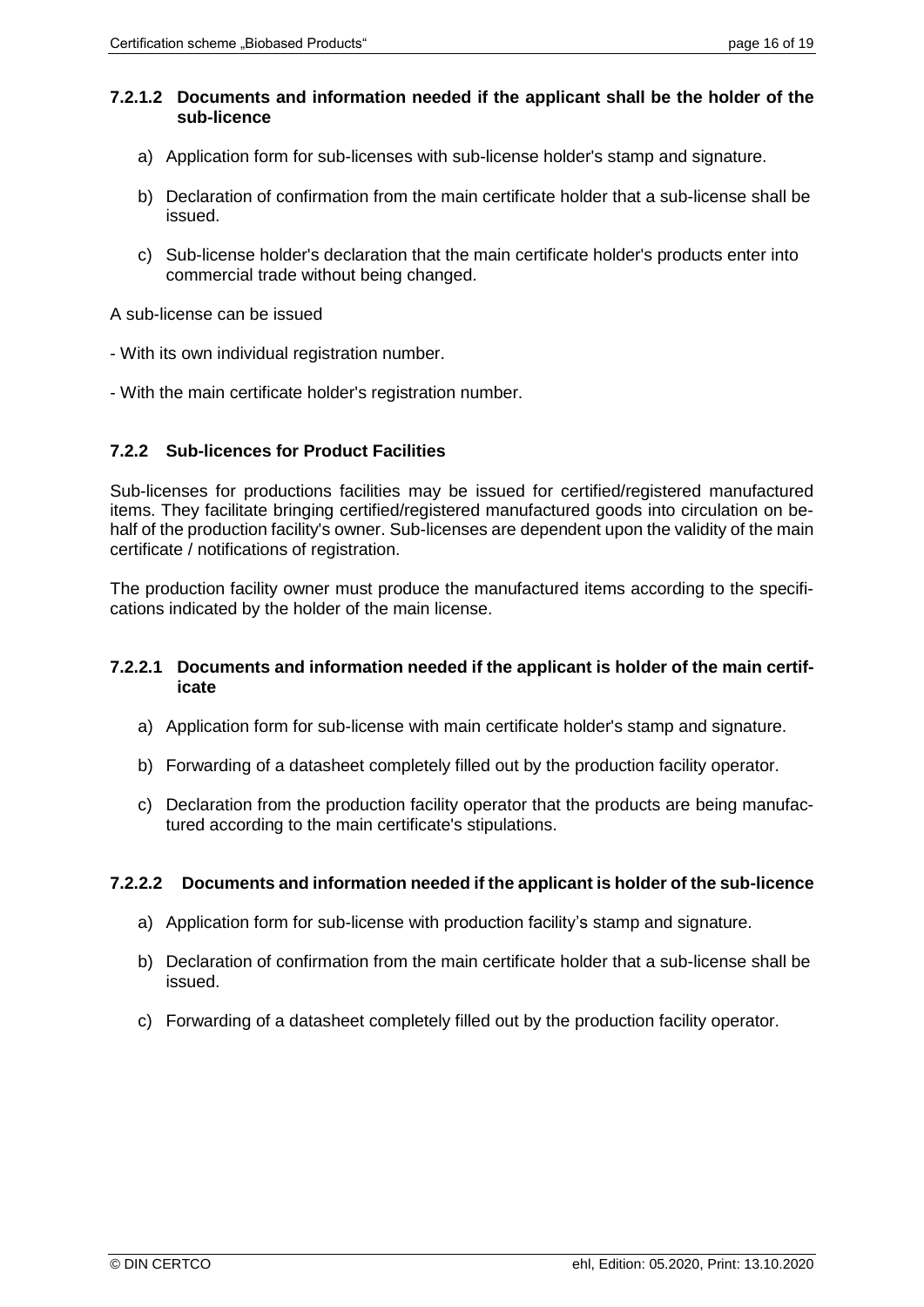#### **7.2.1.2 Documents and information needed if the applicant shall be the holder of the sub-licence**

- a) Application form for sub-licenses with sub-license holder's stamp and signature.
- b) Declaration of confirmation from the main certificate holder that a sub-license shall be issued.
- c) Sub-license holder's declaration that the main certificate holder's products enter into commercial trade without being changed.

A sub-license can be issued

- With its own individual registration number.
- With the main certificate holder's registration number.

#### **7.2.2 Sub-licences for Product Facilities**

Sub-licenses for productions facilities may be issued for certified/registered manufactured items. They facilitate bringing certified/registered manufactured goods into circulation on behalf of the production facility's owner. Sub-licenses are dependent upon the validity of the main certificate / notifications of registration.

The production facility owner must produce the manufactured items according to the specifications indicated by the holder of the main license.

#### **7.2.2.1 Documents and information needed if the applicant is holder of the main certificate**

- a) Application form for sub-license with main certificate holder's stamp and signature.
- b) Forwarding of a datasheet completely filled out by the production facility operator.
- c) Declaration from the production facility operator that the products are being manufactured according to the main certificate's stipulations.

#### **7.2.2.2 Documents and information needed if the applicant is holder of the sub-licence**

- a) Application form for sub-license with production facility's stamp and signature.
- b) Declaration of confirmation from the main certificate holder that a sub-license shall be issued.
- c) Forwarding of a datasheet completely filled out by the production facility operator.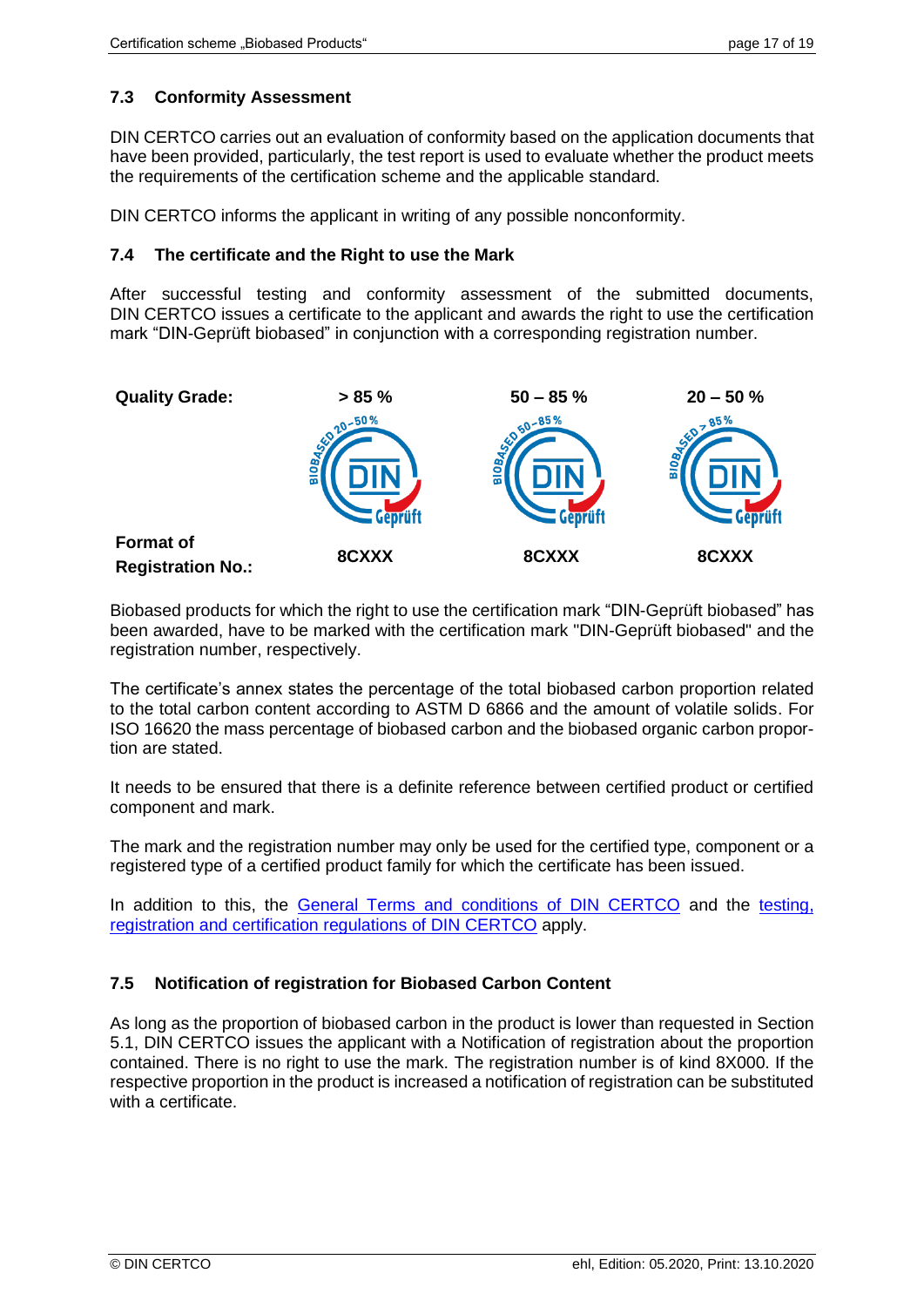# **7.3 Conformity Assessment**

DIN CERTCO carries out an evaluation of conformity based on the application documents that have been provided, particularly, the test report is used to evaluate whether the product meets the requirements of the certification scheme and the applicable standard.

DIN CERTCO informs the applicant in writing of any possible nonconformity.

#### **7.4 The certificate and the Right to use the Mark**

After successful testing and conformity assessment of the submitted documents, DIN CERTCO issues a certificate to the applicant and awards the right to use the certification mark "DIN-Geprüft biobased" in conjunction with a corresponding registration number.



Biobased products for which the right to use the certification mark "DIN-Geprüft biobased" has been awarded, have to be marked with the certification mark "DIN-Geprüft biobased" and the registration number, respectively.

The certificate's annex states the percentage of the total biobased carbon proportion related to the total carbon content according to ASTM D 6866 and the amount of volatile solids. For ISO 16620 the mass percentage of biobased carbon and the biobased organic carbon proportion are stated.

It needs to be ensured that there is a definite reference between certified product or certified component and mark.

The mark and the registration number may only be used for the certified type, component or a registered type of a certified product family for which the certificate has been issued.

In addition to this, the [General Terms and conditions of DIN CERTCO](http://www.dincertco.de/gtc) and the [testing,](http://www.dincertco.de/gtc)  [registration and certification regulations of DIN CERTCO](http://www.dincertco.de/gtc) apply.

# **7.5 Notification of registration for Biobased Carbon Content**

As long as the proportion of biobased carbon in the product is lower than requested in Section 5.1, DIN CERTCO issues the applicant with a Notification of registration about the proportion contained. There is no right to use the mark. The registration number is of kind 8X000. If the respective proportion in the product is increased a notification of registration can be substituted with a certificate.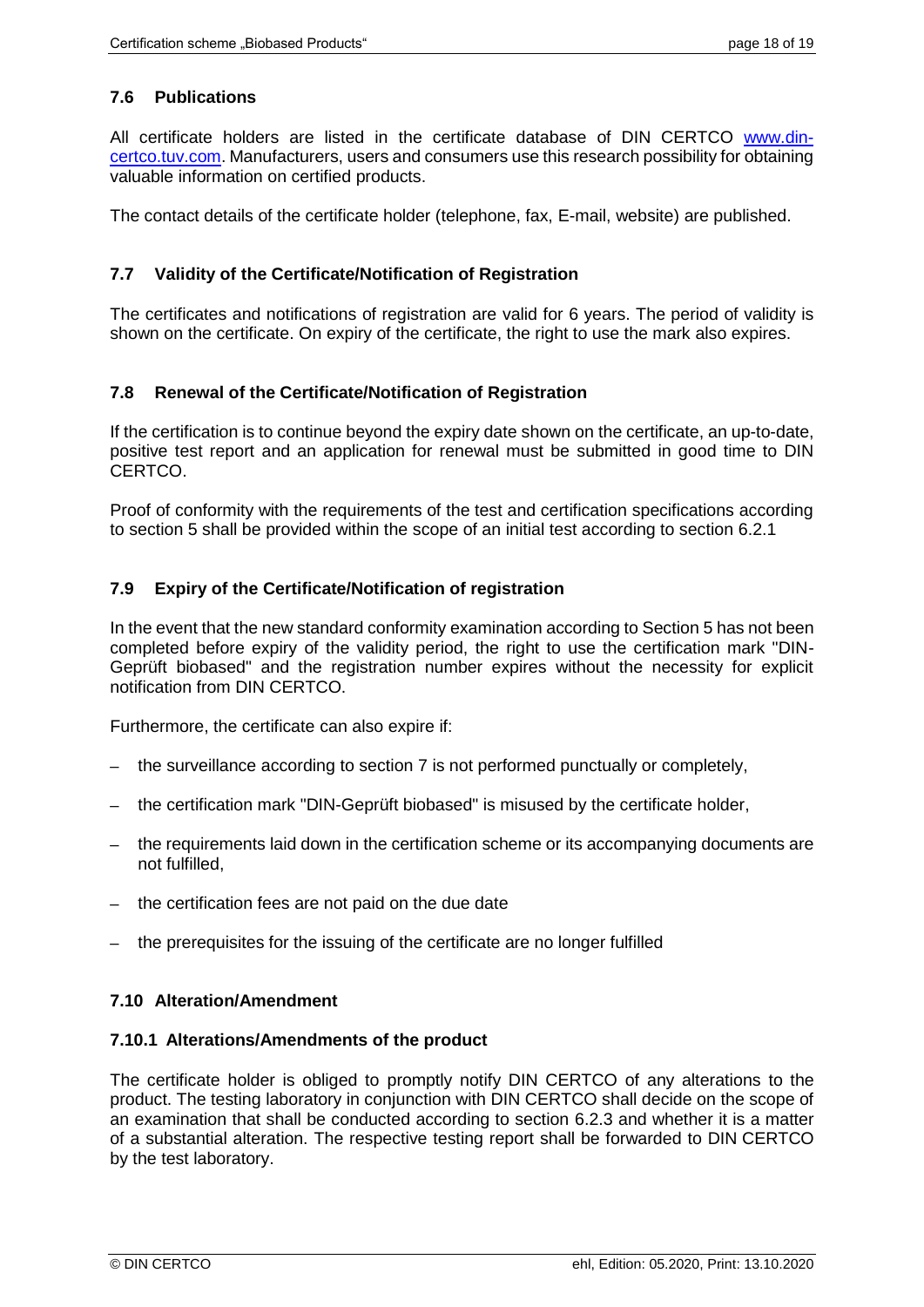# **7.6 Publications**

All certificate holders are listed in the certificate database of DIN CERTCO [www.din](http://www.dincertco.tuv.com/)[certco.tuv.com.](http://www.dincertco.tuv.com/) Manufacturers, users and consumers use this research possibility for obtaining valuable information on certified products.

The contact details of the certificate holder (telephone, fax, E-mail, website) are published.

# **7.7 Validity of the Certificate/Notification of Registration**

The certificates and notifications of registration are valid for 6 years. The period of validity is shown on the certificate. On expiry of the certificate, the right to use the mark also expires.

#### **7.8 Renewal of the Certificate/Notification of Registration**

If the certification is to continue beyond the expiry date shown on the certificate, an up-to-date, positive test report and an application for renewal must be submitted in good time to DIN CERTCO.

Proof of conformity with the requirements of the test and certification specifications according to section [5](#page-9-0) shall be provided within the scope of an initial test according to section [6.2.1](#page-11-0)

# **7.9 Expiry of the Certificate/Notification of registration**

In the event that the new standard conformity examination according to Section 5 has not been completed before expiry of the validity period, the right to use the certification mark "DIN-Geprüft biobased" and the registration number expires without the necessity for explicit notification from DIN CERTCO.

Furthermore, the certificate can also expire if:

- the surveillance according to section 7 is not performed punctually or completely,
- the certification mark "DIN-Geprüft biobased" is misused by the certificate holder,
- ─ the requirements laid down in the certification scheme or its accompanying documents are not fulfilled,
- ─ the certification fees are not paid on the due date
- the prerequisites for the issuing of the certificate are no longer fulfilled

#### <span id="page-17-0"></span>**7.10 Alteration/Amendment**

#### **7.10.1 Alterations/Amendments of the product**

The certificate holder is obliged to promptly notify DIN CERTCO of any alterations to the product. The testing laboratory in conjunction with DIN CERTCO shall decide on the scope of an examination that shall be conducted according to section [6.2.3](#page-12-1) and whether it is a matter of a substantial alteration. The respective testing report shall be forwarded to DIN CERTCO by the test laboratory.